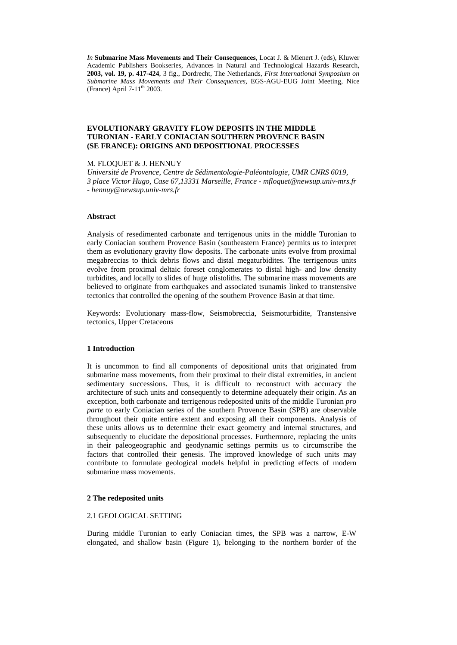*In* **Submarine Mass Movements and Their Consequences**, Locat J. & Mienert J. (eds), Kluwer Academic Publishers Bookseries, Advances in Natural and Technological Hazards Research, **2003, vol. 19, p. 417-424**, 3 fig., Dordrecht, The Netherlands, *First International Symposium on Submarine Mass Movements and Their Consequences*, EGS-AGU-EUG Joint Meeting, Nice (France) April  $7-11^{\text{th}}$  2003.

# **EVOLUTIONARY GRAVITY FLOW DEPOSITS IN THE MIDDLE TURONIAN - EARLY CONIACIAN SOUTHERN PROVENCE BASIN (SE FRANCE): ORIGINS AND DEPOSITIONAL PROCESSES**

# M. FLOQUET & J. HENNUY

*Université de Provence, Centre de Sédimentologie-Paléontologie, UMR CNRS 6019, 3 place Victor Hugo, Case 67,13331 Marseille, France - mfloquet@newsup.univ-mrs.fr - hennuy@newsup.univ-mrs.fr*

## **Abstract**

Analysis of resedimented carbonate and terrigenous units in the middle Turonian to early Coniacian southern Provence Basin (southeastern France) permits us to interpret them as evolutionary gravity flow deposits. The carbonate units evolve from proximal megabreccias to thick debris flows and distal megaturbidites. The terrigenous units evolve from proximal deltaic foreset conglomerates to distal high- and low density turbidites, and locally to slides of huge olistoliths. The submarine mass movements are believed to originate from earthquakes and associated tsunamis linked to transtensive tectonics that controlled the opening of the southern Provence Basin at that time.

Keywords: Evolutionary mass-flow, Seismobreccia, Seismoturbidite, Transtensive tectonics, Upper Cretaceous

# **1 Introduction**

It is uncommon to find all components of depositional units that originated from submarine mass movements, from their proximal to their distal extremities, in ancient sedimentary successions. Thus, it is difficult to reconstruct with accuracy the architecture of such units and consequently to determine adequately their origin. As an exception, both carbonate and terrigenous redeposited units of the middle Turonian *pro parte* to early Coniacian series of the southern Provence Basin (SPB) are observable throughout their quite entire extent and exposing all their components. Analysis of these units allows us to determine their exact geometry and internal structures, and subsequently to elucidate the depositional processes. Furthermore, replacing the units in their paleogeographic and geodynamic settings permits us to circumscribe the factors that controlled their genesis. The improved knowledge of such units may contribute to formulate geological models helpful in predicting effects of modern submarine mass movements.

### **2 The redeposited units**

## 2.1 GEOLOGICAL SETTING

During middle Turonian to early Coniacian times, the SPB was a narrow, E-W elongated, and shallow basin (Figure 1), belonging to the northern border of the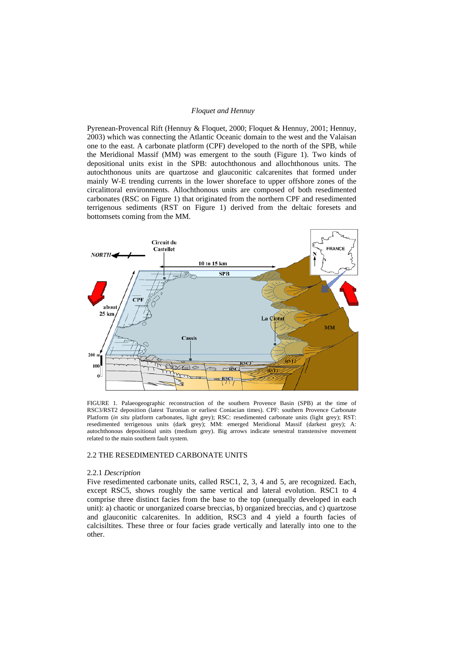#### *Floquet and Hennuy*

Pyrenean-Provencal Rift (Hennuy & Floquet, 2000; Floquet & Hennuy, 2001; Hennuy, 2003) which was connecting the Atlantic Oceanic domain to the west and the Valaisan one to the east. A carbonate platform (CPF) developed to the north of the SPB, while the Meridional Massif (MM) was emergent to the south (Figure 1). Two kinds of depositional units exist in the SPB: autochthonous and allochthonous units. The autochthonous units are quartzose and glauconitic calcarenites that formed under mainly W-E trending currents in the lower shoreface to upper offshore zones of the circalittoral environments. Allochthonous units are composed of both resedimented carbonates (RSC on Figure 1) that originated from the northern CPF and resedimented terrigenous sediments (RST on Figure 1) derived from the deltaic foresets and bottomsets coming from the MM.



FIGURE 1. Palaeogeographic reconstruction of the southern Provence Basin (SPB) at the time of RSC3/RST2 deposition (latest Turonian or earliest Coniacian times). CPF: southern Provence Carbonate Platform *(in situ* platform carbonates, light grey); RSC: resedimented carbonate units *(light grey)*; RST: resedimented terrigenous units (dark grey); MM: emerged Meridional Massif (darkest grey); A: autochthonous depositional units (medium grey). Big arrows indicate senestral transtensive movement related to the main southern fault system.

## 2.2 THE RESEDIMENTED CARBONATE UNITS

## 2.2.1 *Description*

Five resedimented carbonate units, called RSC1, 2, 3, 4 and 5, are recognized. Each, except RSC5, shows roughly the same vertical and lateral evolution. RSC1 to 4 comprise three distinct facies from the base to the top (unequally developed in each unit): a) chaotic or unorganized coarse breccias, b) organized breccias, and c) quartzose and glauconitic calcarenites. In addition, RSC3 and 4 yield a fourth facies of calcisiltites. These three or four facies grade vertically and laterally into one to the other.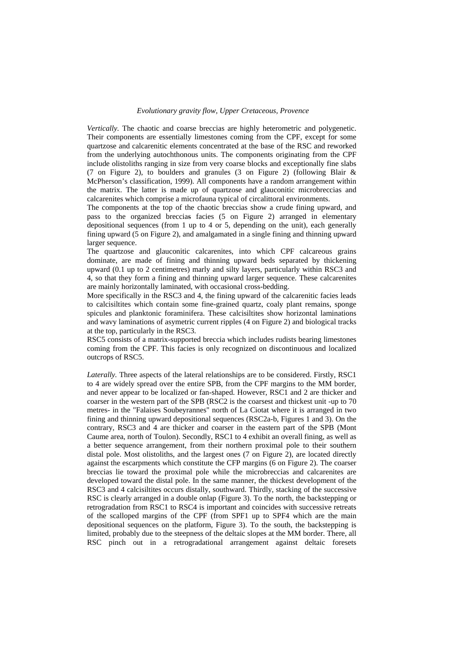#### *Evolutionary gravity flow, Upper Cretaceous, Provence*

*Vertically.* The chaotic and coarse breccias are highly heterometric and polygenetic. Their components are essentially limestones coming from the CPF, except for some quartzose and calcarenitic elements concentrated at the base of the RSC and reworked from the underlying autochthonous units. The components originating from the CPF include olistoliths ranging in size from very coarse blocks and exceptionally fine slabs (7 on Figure 2), to boulders and granules (3 on Figure 2) (following Blair & McPherson's classification, 1999). All components have a random arrangement within the matrix. The latter is made up of quartzose and glauconitic microbreccias and calcarenites which comprise a microfauna typical of circalittoral environments.

The components at the top of the chaotic breccias show a crude fining upward, and pass to the organized breccias facies (5 on Figure 2) arranged in elementary depositional sequences (from 1 up to 4 or 5, depending on the unit), each generally fining upward (5 on Figure 2), and amalgamated in a single fining and thinning upward larger sequence.

The quartzose and glauconitic calcarenites, into which CPF calcareous grains dominate, are made of fining and thinning upward beds separated by thickening upward (0.1 up to 2 centimetres) marly and silty layers, particularly within RSC3 and 4, so that they form a fining and thinning upward larger sequence. These calcarenites are mainly horizontally laminated, with occasional cross-bedding.

More specifically in the RSC3 and 4, the fining upward of the calcarenitic facies leads to calcisiltites which contain some fine-grained quartz, coaly plant remains, sponge spicules and planktonic foraminifera. These calcisiltites show horizontal laminations and wavy laminations of asymetric current ripples (4 on Figure 2) and biological tracks at the top, particularly in the RSC3.

RSC5 consists of a matrix-supported breccia which includes rudists bearing limestones coming from the CPF. This facies is only recognized on discontinuous and localized outcrops of RSC5.

*Laterally.* Three aspects of the lateral relationships are to be considered. Firstly, RSC1 to 4 are widely spread over the entire SPB, from the CPF margins to the MM border, and never appear to be localized or fan-shaped. However, RSC1 and 2 are thicker and coarser in the western part of the SPB (RSC2 is the coarsest and thickest unit -up to 70 metres- in the "Falaises Soubeyrannes" north of La Ciotat where it is arranged in two fining and thinning upward depositional sequences (RSC2a-b, Figures 1 and 3). On the contrary, RSC3 and 4 are thicker and coarser in the eastern part of the SPB (Mont Caume area, north of Toulon). Secondly, RSC1 to 4 exhibit an overall fining, as well as a better sequence arrangement, from their northern proximal pole to their southern distal pole. Most olistoliths, and the largest ones (7 on Figure 2), are located directly against the escarpments which constitute the CFP margins (6 on Figure 2). The coarser breccias lie toward the proximal pole while the microbreccias and calcarenites are developed toward the distal pole. In the same manner, the thickest development of the RSC3 and 4 calcisiltites occurs distally, southward. Thirdly, stacking of the successive RSC is clearly arranged in a double onlap (Figure 3). To the north, the backstepping or retrogradation from RSC1 to RSC4 is important and coincides with successive retreats of the scalloped margins of the CPF (from SPF1 up to SPF4 which are the main depositional sequences on the platform, Figure 3). To the south, the backstepping is limited, probably due to the steepness of the deltaic slopes at the MM border. There, all RSC pinch out in a retrogradational arrangement against deltaic foresets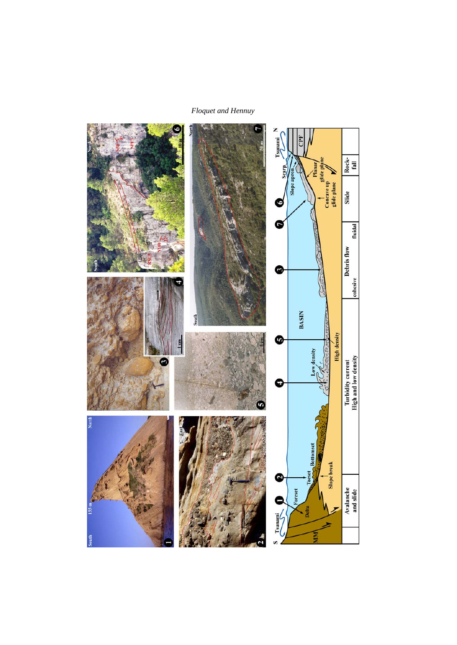*Floquet and Hennuy* 

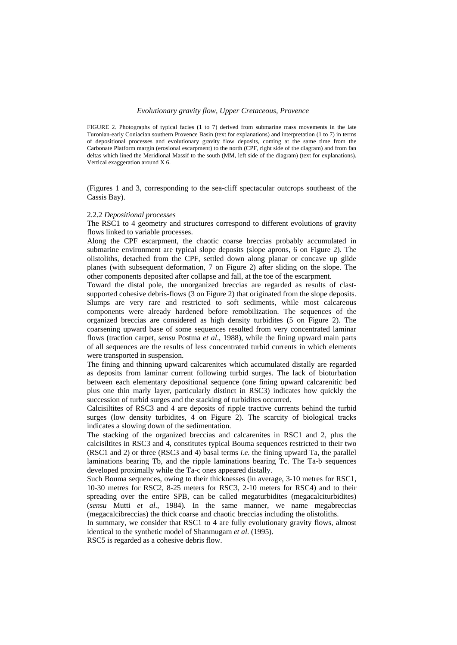#### *Evolutionary gravity flow, Upper Cretaceous, Provence*

FIGURE 2. Photographs of typical facies (1 to 7) derived from submarine mass movements in the late Turonian-early Coniacian southern Provence Basin (text for explanations) and interpretation (1 to 7) in terms of depositional processes and evolutionary gravity flow deposits, coming at the same time from the Carbonate Platform margin (erosional escarpment) to the north (CPF, right side of the diagram) and from fan deltas which lined the Meridional Massif to the south (MM, left side of the diagram) (text for explanations). Vertical exaggeration around X 6.

(Figures 1 and 3, corresponding to the sea-cliff spectacular outcrops southeast of the Cassis Bay).

## 2.2.2 *Depositional processes*

The RSC1 to 4 geometry and structures correspond to different evolutions of gravity flows linked to variable processes.

Along the CPF escarpment, the chaotic coarse breccias probably accumulated in submarine environment are typical slope deposits (slope aprons, 6 on Figure 2). The olistoliths, detached from the CPF, settled down along planar or concave up glide planes (with subsequent deformation, 7 on Figure 2) after sliding on the slope. The other components deposited after collapse and fall, at the toe of the escarpment.

Toward the distal pole, the unorganized breccias are regarded as results of clastsupported cohesive debris-flows (3 on Figure 2) that originated from the slope deposits. Slumps are very rare and restricted to soft sediments, while most calcareous components were already hardened before remobilization. The sequences of the organized breccias are considered as high density turbidites (5 on Figure 2). The coarsening upward base of some sequences resulted from very concentrated laminar flows (traction carpet, *sensu* Postma *et al*., 1988), while the fining upward main parts of all sequences are the results of less concentrated turbid currents in which elements were transported in suspension.

The fining and thinning upward calcarenites which accumulated distally are regarded as deposits from laminar current following turbid surges. The lack of bioturbation between each elementary depositional sequence (one fining upward calcarenitic bed plus one thin marly layer, particularly distinct in RSC3) indicates how quickly the succession of turbid surges and the stacking of turbidites occurred.

Calcisiltites of RSC3 and 4 are deposits of ripple tractive currents behind the turbid surges (low density turbidites, 4 on Figure 2). The scarcity of biological tracks indicates a slowing down of the sedimentation.

The stacking of the organized breccias and calcarenites in RSC1 and 2, plus the calcisiltites in RSC3 and 4, constitutes typical Bouma sequences restricted to their two (RSC1 and 2) or three (RSC3 and 4) basal terms *i.e.* the fining upward Ta, the parallel laminations bearing Tb, and the ripple laminations bearing Tc. The Ta-b sequences developed proximally while the Ta-c ones appeared distally.

Such Bouma sequences, owing to their thicknesses (in average, 3-10 metres for RSC1, 10-30 metres for RSC2, 8-25 meters for RSC3, 2-10 meters for RSC4) and to their spreading over the entire SPB, can be called megaturbidites (megacalciturbidites) (*sensu* Mutti *et al*., 1984). In the same manner, we name megabreccias (megacalcibreccias) the thick coarse and chaotic breccias including the olistoliths.

In summary, we consider that RSC1 to 4 are fully evolutionary gravity flows, almost identical to the synthetic model of Shanmugam *et al*. (1995).

RSC5 is regarded as a cohesive debris flow.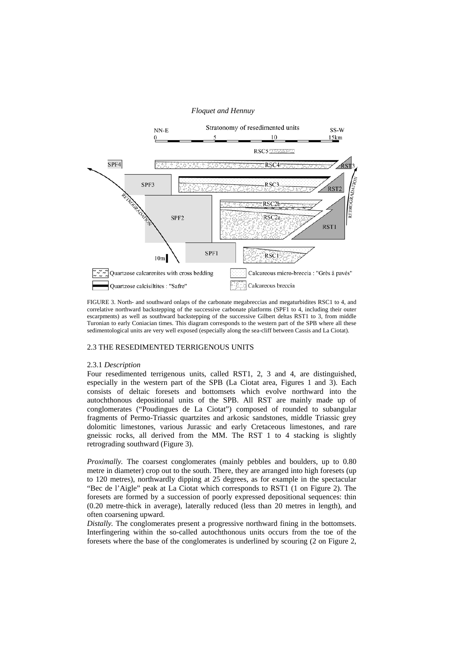#### *Floquet and Hennuy*



FIGURE 3. North- and southward onlaps of the carbonate megabreccias and megaturbidites RSC1 to 4, and correlative northward backstepping of the successive carbonate platforms (SPF1 to 4, including their outer escarpments) as well as southward backstepping of the successive Gilbert deltas RST1 to 3, from middle Turonian to early Coniacian times. This diagram corresponds to the western part of the SPB where all these sedimentological units are very well exposed (especially along the sea-cliff between Cassis and La Ciotat).

# 2.3 THE RESEDIMENTED TERRIGENOUS UNITS

### 2.3.1 *Description*

Four resedimented terrigenous units, called RST1, 2, 3 and 4, are distinguished, especially in the western part of the SPB (La Ciotat area, Figures 1 and 3). Each consists of deltaic foresets and bottomsets which evolve northward into the autochthonous depositional units of the SPB. All RST are mainly made up of conglomerates ("Poudingues de La Ciotat") composed of rounded to subangular fragments of Permo-Triassic quartzites and arkosic sandstones, middle Triassic grey dolomitic limestones, various Jurassic and early Cretaceous limestones, and rare gneissic rocks, all derived from the MM. The RST 1 to 4 stacking is slightly retrograding southward (Figure 3).

*Proximally.* The coarsest conglomerates (mainly pebbles and boulders, up to 0.80 metre in diameter) crop out to the south. There, they are arranged into high foresets (up to 120 metres), northwardly dipping at 25 degrees, as for example in the spectacular "Bec de l'Aigle" peak at La Ciotat which corresponds to RST1 (1 on Figure 2). The foresets are formed by a succession of poorly expressed depositional sequences: thin (0.20 metre-thick in average), laterally reduced (less than 20 metres in length), and often coarsening upward.

*Distally.* The conglomerates present a progressive northward fining in the bottomsets. Interfingering within the so-called autochthonous units occurs from the toe of the foresets where the base of the conglomerates is underlined by scouring (2 on Figure 2,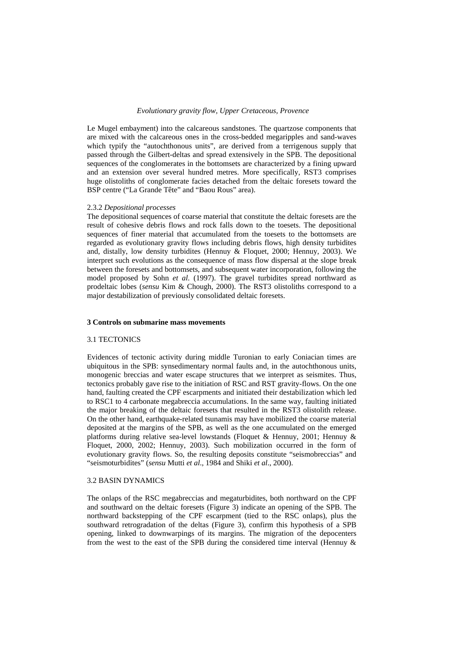## *Evolutionary gravity flow, Upper Cretaceous, Provence*

Le Mugel embayment) into the calcareous sandstones. The quartzose components that are mixed with the calcareous ones in the cross-bedded megaripples and sand-waves which typify the "autochthonous units", are derived from a terrigenous supply that passed through the Gilbert-deltas and spread extensively in the SPB. The depositional sequences of the conglomerates in the bottomsets are characterized by a fining upward and an extension over several hundred metres. More specifically, RST3 comprises huge olistoliths of conglomerate facies detached from the deltaic foresets toward the BSP centre ("La Grande Tête" and "Baou Rous" area).

### 2.3.2 *Depositional processes*

The depositional sequences of coarse material that constitute the deltaic foresets are the result of cohesive debris flows and rock falls down to the toesets. The depositional sequences of finer material that accumulated from the toesets to the bottomsets are regarded as evolutionary gravity flows including debris flows, high density turbidites and, distally, low density turbidites (Hennuy  $\&$  Floquet, 2000; Hennuy, 2003). We interpret such evolutions as the consequence of mass flow dispersal at the slope break between the foresets and bottomsets, and subsequent water incorporation, following the model proposed by Sohn *et al*. (1997). The gravel turbidites spread northward as prodeltaic lobes (*sensu* Kim & Chough, 2000). The RST3 olistoliths correspond to a major destabilization of previously consolidated deltaic foresets.

## **3 Controls on submarine mass movements**

## 3.1 TECTONICS

Evidences of tectonic activity during middle Turonian to early Coniacian times are ubiquitous in the SPB: synsedimentary normal faults and, in the autochthonous units, monogenic breccias and water escape structures that we interpret as seismites. Thus, tectonics probably gave rise to the initiation of RSC and RST gravity-flows. On the one hand, faulting created the CPF escarpments and initiated their destabilization which led to RSC1 to 4 carbonate megabreccia accumulations. In the same way, faulting initiated the major breaking of the deltaic foresets that resulted in the RST3 olistolith release. On the other hand, earthquake-related tsunamis may have mobilized the coarse material deposited at the margins of the SPB, as well as the one accumulated on the emerged platforms during relative sea-level lowstands (Floquet & Hennuy, 2001; Hennuy & Floquet, 2000, 2002; Hennuy, 2003). Such mobilization occurred in the form of evolutionary gravity flows. So, the resulting deposits constitute "seismobreccias" and "seismoturbidites" (*sensu* Mutti *et al*., 1984 and Shiki *et al*., 2000).

### 3.2 BASIN DYNAMICS

The onlaps of the RSC megabreccias and megaturbidites, both northward on the CPF and southward on the deltaic foresets (Figure 3) indicate an opening of the SPB. The northward backstepping of the CPF escarpment (tied to the RSC onlaps), plus the southward retrogradation of the deltas (Figure 3), confirm this hypothesis of a SPB opening, linked to downwarpings of its margins. The migration of the depocenters from the west to the east of the SPB during the considered time interval (Hennuy &